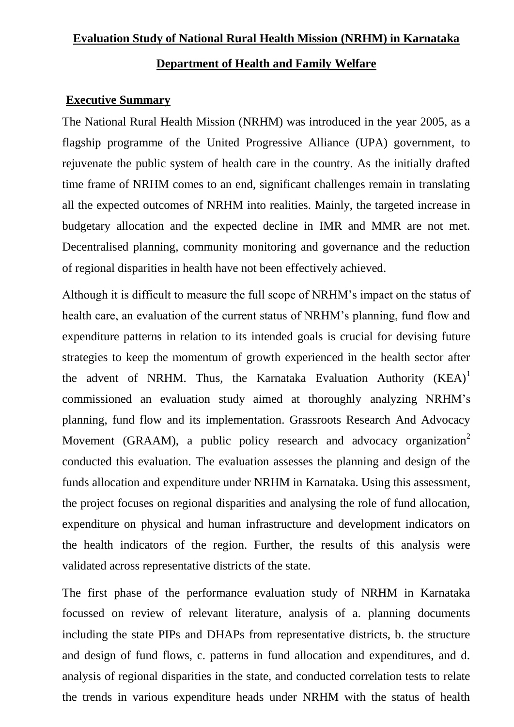# **Evaluation Study of National Rural Health Mission (NRHM) in Karnataka**

### **Department of Health and Family Welfare**

#### **Executive Summary**

The National Rural Health Mission (NRHM) was introduced in the year 2005, as a flagship programme of the United Progressive Alliance (UPA) government, to rejuvenate the public system of health care in the country. As the initially drafted time frame of NRHM comes to an end, significant challenges remain in translating all the expected outcomes of NRHM into realities. Mainly, the targeted increase in budgetary allocation and the expected decline in IMR and MMR are not met. Decentralised planning, community monitoring and governance and the reduction of regional disparities in health have not been effectively achieved.

Although it is difficult to measure the full scope of NRHM"s impact on the status of health care, an evaluation of the current status of NRHM's planning, fund flow and expenditure patterns in relation to its intended goals is crucial for devising future strategies to keep the momentum of growth experienced in the health sector after the advent of NRHM. Thus, the Karnataka Evaluation Authority  $(KEA)^1$ commissioned an evaluation study aimed at thoroughly analyzing NRHM"s planning, fund flow and its implementation. Grassroots Research And Advocacy Movement (GRAAM), a public policy research and advocacy organization<sup>2</sup> conducted this evaluation. The evaluation assesses the planning and design of the funds allocation and expenditure under NRHM in Karnataka. Using this assessment, the project focuses on regional disparities and analysing the role of fund allocation, expenditure on physical and human infrastructure and development indicators on the health indicators of the region. Further, the results of this analysis were validated across representative districts of the state.

The first phase of the performance evaluation study of NRHM in Karnataka focussed on review of relevant literature, analysis of a. planning documents including the state PIPs and DHAPs from representative districts, b. the structure and design of fund flows, c. patterns in fund allocation and expenditures, and d. analysis of regional disparities in the state, and conducted correlation tests to relate the trends in various expenditure heads under NRHM with the status of health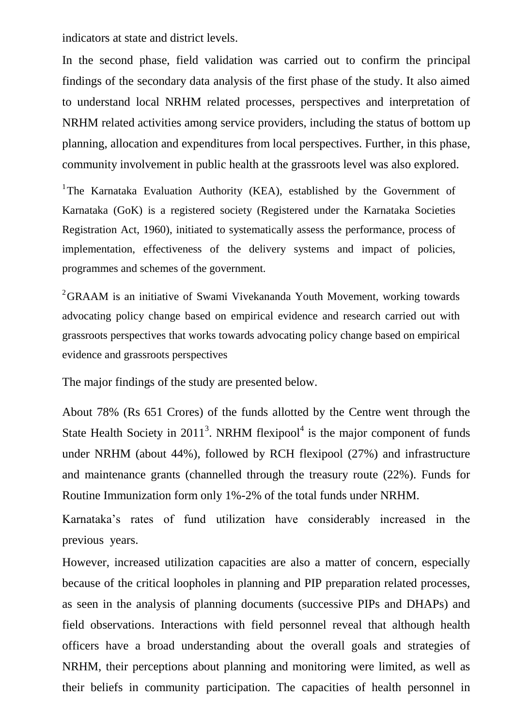indicators at state and district levels.

In the second phase, field validation was carried out to confirm the principal findings of the secondary data analysis of the first phase of the study. It also aimed to understand local NRHM related processes, perspectives and interpretation of NRHM related activities among service providers, including the status of bottom up planning, allocation and expenditures from local perspectives. Further, in this phase, community involvement in public health at the grassroots level was also explored.

<sup>1</sup>The Karnataka Evaluation Authority (KEA), established by the Government of Karnataka (GoK) is a registered society (Registered under the Karnataka Societies Registration Act, 1960), initiated to systematically assess the performance, process of implementation, effectiveness of the delivery systems and impact of policies, programmes and schemes of the government.

 $2<sup>2</sup>$ GRAAM is an initiative of Swami Vivekananda Youth Movement, working towards advocating policy change based on empirical evidence and research carried out with grassroots perspectives that works towards advocating policy change based on empirical evidence and grassroots perspectives

The major findings of the study are presented below.

About 78% (Rs 651 Crores) of the funds allotted by the Centre went through the State Health Society in  $2011<sup>3</sup>$ . NRHM flexipool<sup>4</sup> is the major component of funds under NRHM (about 44%), followed by RCH flexipool (27%) and infrastructure and maintenance grants (channelled through the treasury route (22%). Funds for Routine Immunization form only 1%-2% of the total funds under NRHM.

Karnataka"s rates of fund utilization have considerably increased in the previous years.

However, increased utilization capacities are also a matter of concern, especially because of the critical loopholes in planning and PIP preparation related processes, as seen in the analysis of planning documents (successive PIPs and DHAPs) and field observations. Interactions with field personnel reveal that although health officers have a broad understanding about the overall goals and strategies of NRHM, their perceptions about planning and monitoring were limited, as well as their beliefs in community participation. The capacities of health personnel in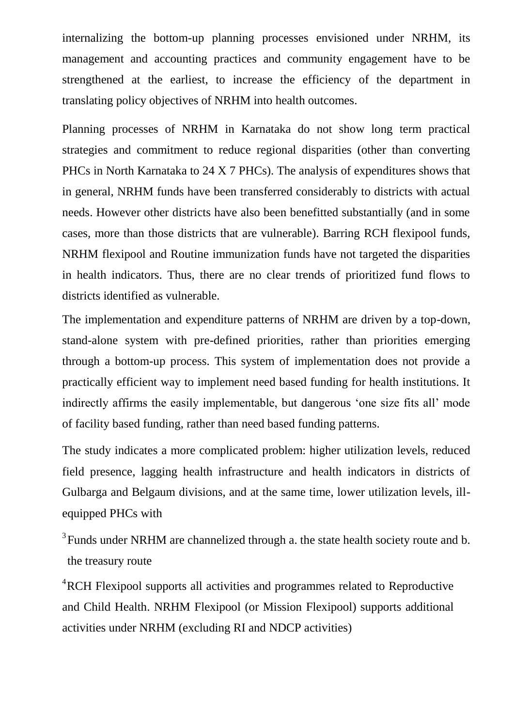internalizing the bottom-up planning processes envisioned under NRHM, its management and accounting practices and community engagement have to be strengthened at the earliest, to increase the efficiency of the department in translating policy objectives of NRHM into health outcomes.

Planning processes of NRHM in Karnataka do not show long term practical strategies and commitment to reduce regional disparities (other than converting PHCs in North Karnataka to 24 X 7 PHCs). The analysis of expenditures shows that in general, NRHM funds have been transferred considerably to districts with actual needs. However other districts have also been benefitted substantially (and in some cases, more than those districts that are vulnerable). Barring RCH flexipool funds, NRHM flexipool and Routine immunization funds have not targeted the disparities in health indicators. Thus, there are no clear trends of prioritized fund flows to districts identified as vulnerable.

The implementation and expenditure patterns of NRHM are driven by a top-down, stand-alone system with pre-defined priorities, rather than priorities emerging through a bottom-up process. This system of implementation does not provide a practically efficient way to implement need based funding for health institutions. It indirectly affirms the easily implementable, but dangerous "one size fits all" mode of facility based funding, rather than need based funding patterns.

The study indicates a more complicated problem: higher utilization levels, reduced field presence, lagging health infrastructure and health indicators in districts of Gulbarga and Belgaum divisions, and at the same time, lower utilization levels, illequipped PHCs with

 $3$  Funds under NRHM are channelized through a. the state health society route and b. the treasury route

<sup>4</sup>RCH Flexipool supports all activities and programmes related to Reproductive and Child Health. NRHM Flexipool (or Mission Flexipool) supports additional activities under NRHM (excluding RI and NDCP activities)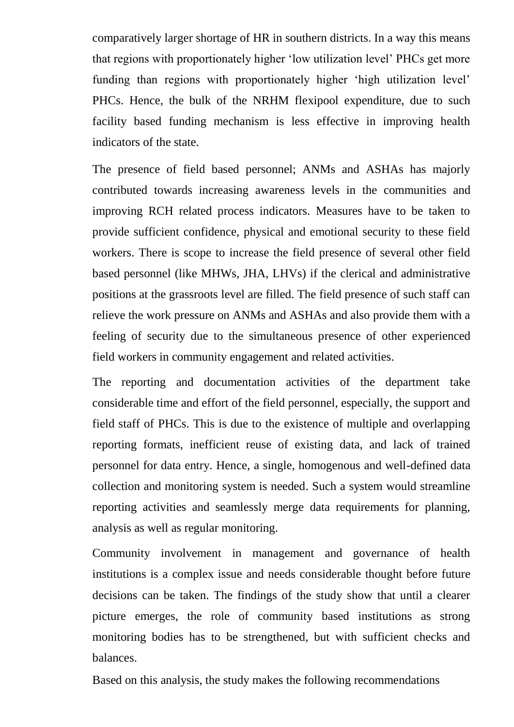comparatively larger shortage of HR in southern districts. In a way this means that regions with proportionately higher "low utilization level" PHCs get more funding than regions with proportionately higher "high utilization level" PHCs. Hence, the bulk of the NRHM flexipool expenditure, due to such facility based funding mechanism is less effective in improving health indicators of the state.

The presence of field based personnel; ANMs and ASHAs has majorly contributed towards increasing awareness levels in the communities and improving RCH related process indicators. Measures have to be taken to provide sufficient confidence, physical and emotional security to these field workers. There is scope to increase the field presence of several other field based personnel (like MHWs, JHA, LHVs) if the clerical and administrative positions at the grassroots level are filled. The field presence of such staff can relieve the work pressure on ANMs and ASHAs and also provide them with a feeling of security due to the simultaneous presence of other experienced field workers in community engagement and related activities.

The reporting and documentation activities of the department take considerable time and effort of the field personnel, especially, the support and field staff of PHCs. This is due to the existence of multiple and overlapping reporting formats, inefficient reuse of existing data, and lack of trained personnel for data entry. Hence, a single, homogenous and well-defined data collection and monitoring system is needed. Such a system would streamline reporting activities and seamlessly merge data requirements for planning, analysis as well as regular monitoring.

Community involvement in management and governance of health institutions is a complex issue and needs considerable thought before future decisions can be taken. The findings of the study show that until a clearer picture emerges, the role of community based institutions as strong monitoring bodies has to be strengthened, but with sufficient checks and balances.

Based on this analysis, the study makes the following recommendations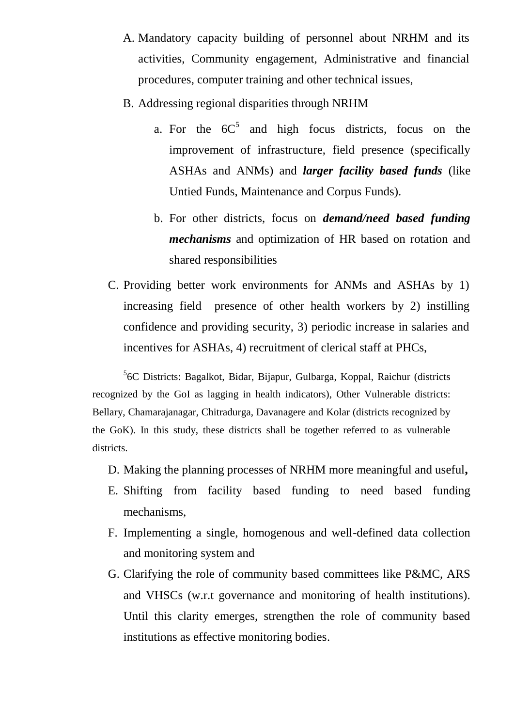- A. Mandatory capacity building of personnel about NRHM and its activities, Community engagement, Administrative and financial procedures, computer training and other technical issues,
- B. Addressing regional disparities through NRHM
	- a. For the  $6C^5$  and high focus districts, focus on the improvement of infrastructure, field presence (specifically ASHAs and ANMs) and *larger facility based funds* (like Untied Funds, Maintenance and Corpus Funds).
	- b. For other districts, focus on *demand/need based funding mechanisms* and optimization of HR based on rotation and shared responsibilities
- C. Providing better work environments for ANMs and ASHAs by 1) increasing field presence of other health workers by 2) instilling confidence and providing security, 3) periodic increase in salaries and incentives for ASHAs, 4) recruitment of clerical staff at PHCs,

<sup>5</sup>6C Districts: Bagalkot, Bidar, Bijapur, Gulbarga, Koppal, Raichur (districts recognized by the GoI as lagging in health indicators), Other Vulnerable districts: Bellary, Chamarajanagar, Chitradurga, Davanagere and Kolar (districts recognized by the GoK). In this study, these districts shall be together referred to as vulnerable districts.

- D. Making the planning processes of NRHM more meaningful and useful**,**
- E. Shifting from facility based funding to need based funding mechanisms,
- F. Implementing a single, homogenous and well-defined data collection and monitoring system and
- G. Clarifying the role of community based committees like P&MC, ARS and VHSCs (w.r.t governance and monitoring of health institutions). Until this clarity emerges, strengthen the role of community based institutions as effective monitoring bodies.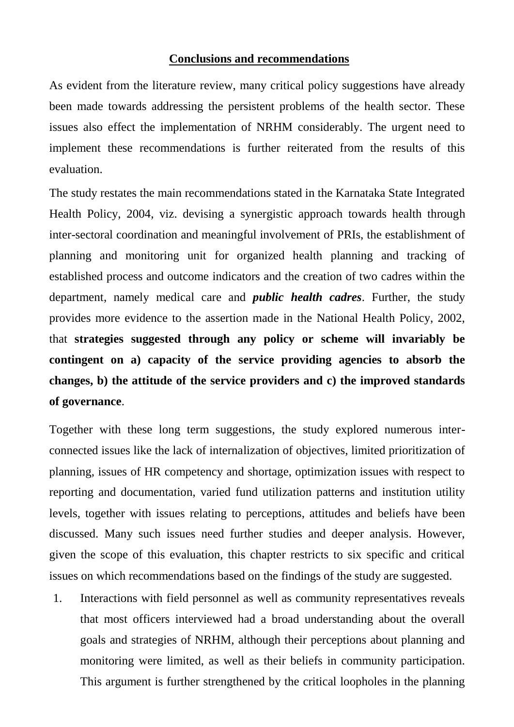## **Conclusions and recommendations**

As evident from the literature review, many critical policy suggestions have already been made towards addressing the persistent problems of the health sector. These issues also effect the implementation of NRHM considerably. The urgent need to implement these recommendations is further reiterated from the results of this evaluation.

The study restates the main recommendations stated in the Karnataka State Integrated Health Policy, 2004, viz. devising a synergistic approach towards health through inter-sectoral coordination and meaningful involvement of PRIs, the establishment of planning and monitoring unit for organized health planning and tracking of established process and outcome indicators and the creation of two cadres within the department, namely medical care and *public health cadres*. Further, the study provides more evidence to the assertion made in the National Health Policy, 2002, that **strategies suggested through any policy or scheme will invariably be contingent on a) capacity of the service providing agencies to absorb the changes, b) the attitude of the service providers and c) the improved standards of governance**.

Together with these long term suggestions, the study explored numerous interconnected issues like the lack of internalization of objectives, limited prioritization of planning, issues of HR competency and shortage, optimization issues with respect to reporting and documentation, varied fund utilization patterns and institution utility levels, together with issues relating to perceptions, attitudes and beliefs have been discussed. Many such issues need further studies and deeper analysis. However, given the scope of this evaluation, this chapter restricts to six specific and critical issues on which recommendations based on the findings of the study are suggested.

1. Interactions with field personnel as well as community representatives reveals that most officers interviewed had a broad understanding about the overall goals and strategies of NRHM, although their perceptions about planning and monitoring were limited, as well as their beliefs in community participation. This argument is further strengthened by the critical loopholes in the planning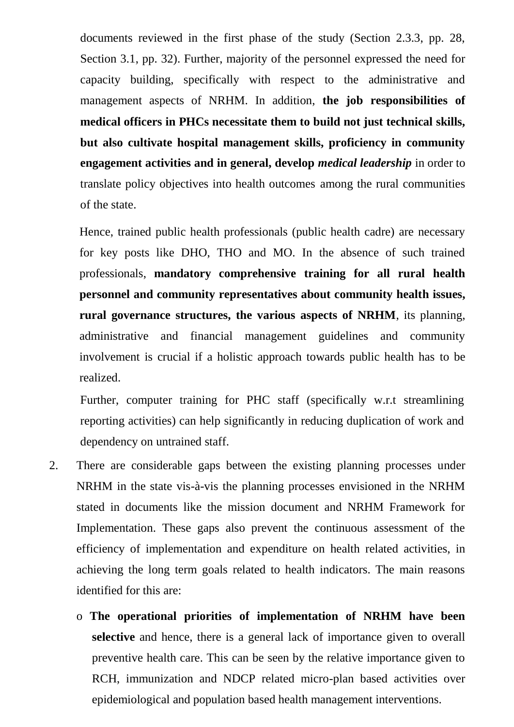documents reviewed in the first phase of the study (Section 2.3.3, pp. 28, Section 3.1, pp. 32). Further, majority of the personnel expressed the need for capacity building, specifically with respect to the administrative and management aspects of NRHM. In addition, **the job responsibilities of medical officers in PHCs necessitate them to build not just technical skills, but also cultivate hospital management skills, proficiency in community engagement activities and in general, develop** *medical leadership* in order to translate policy objectives into health outcomes among the rural communities of the state.

Hence, trained public health professionals (public health cadre) are necessary for key posts like DHO, THO and MO. In the absence of such trained professionals, **mandatory comprehensive training for all rural health personnel and community representatives about community health issues, rural governance structures, the various aspects of NRHM**, its planning, administrative and financial management guidelines and community involvement is crucial if a holistic approach towards public health has to be realized.

Further, computer training for PHC staff (specifically w.r.t streamlining reporting activities) can help significantly in reducing duplication of work and dependency on untrained staff.

- 2. There are considerable gaps between the existing planning processes under NRHM in the state vis-à-vis the planning processes envisioned in the NRHM stated in documents like the mission document and NRHM Framework for Implementation. These gaps also prevent the continuous assessment of the efficiency of implementation and expenditure on health related activities, in achieving the long term goals related to health indicators. The main reasons identified for this are:
	- o **The operational priorities of implementation of NRHM have been selective** and hence, there is a general lack of importance given to overall preventive health care. This can be seen by the relative importance given to RCH, immunization and NDCP related micro-plan based activities over epidemiological and population based health management interventions.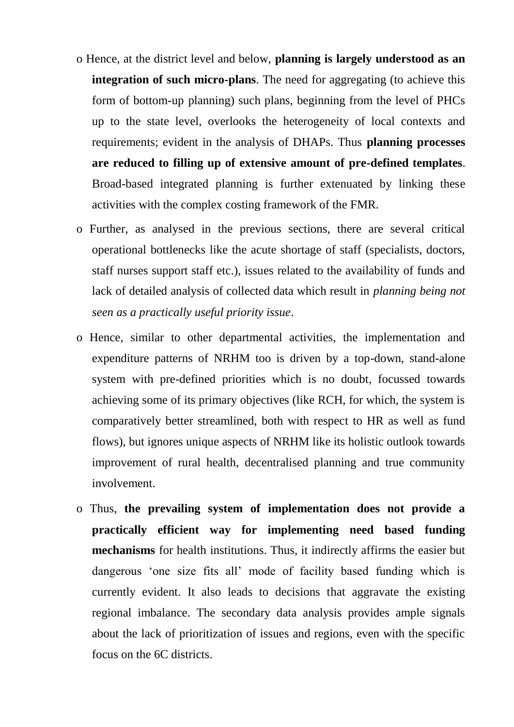- o Hence, at the district level and below, **planning is largely understood as an integration of such micro-plans**. The need for aggregating (to achieve this form of bottom-up planning) such plans, beginning from the level of PHCs up to the state level, overlooks the heterogeneity of local contexts and requirements; evident in the analysis of DHAPs. Thus **planning processes are reduced to filling up of extensive amount of pre-defined templates**. Broad-based integrated planning is further extenuated by linking these activities with the complex costing framework of the FMR.
- o Further, as analysed in the previous sections, there are several critical operational bottlenecks like the acute shortage of staff (specialists, doctors, staff nurses support staff etc.), issues related to the availability of funds and lack of detailed analysis of collected data which result in *planning being not seen as a practically useful priority issue*.
- o Hence, similar to other departmental activities, the implementation and expenditure patterns of NRHM too is driven by a top-down, stand-alone system with pre-defined priorities which is no doubt, focussed towards achieving some of its primary objectives (like RCH, for which, the system is comparatively better streamlined, both with respect to HR as well as fund flows), but ignores unique aspects of NRHM like its holistic outlook towards improvement of rural health, decentralised planning and true community involvement.
- o Thus, **the prevailing system of implementation does not provide a practically efficient way for implementing need based funding mechanisms** for health institutions. Thus, it indirectly affirms the easier but dangerous "one size fits all" mode of facility based funding which is currently evident. It also leads to decisions that aggravate the existing regional imbalance. The secondary data analysis provides ample signals about the lack of prioritization of issues and regions, even with the specific focus on the 6C districts.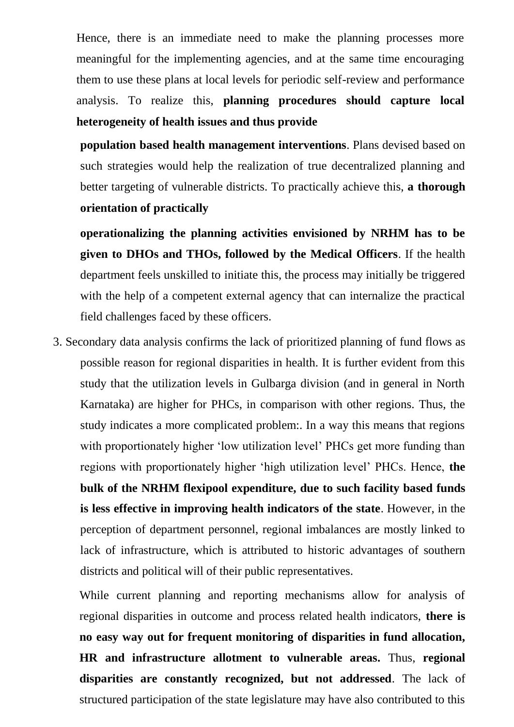Hence, there is an immediate need to make the planning processes more meaningful for the implementing agencies, and at the same time encouraging them to use these plans at local levels for periodic self-review and performance analysis. To realize this, **planning procedures should capture local heterogeneity of health issues and thus provide**

**population based health management interventions**. Plans devised based on such strategies would help the realization of true decentralized planning and better targeting of vulnerable districts. To practically achieve this, **a thorough orientation of practically**

**operationalizing the planning activities envisioned by NRHM has to be given to DHOs and THOs, followed by the Medical Officers**. If the health department feels unskilled to initiate this, the process may initially be triggered with the help of a competent external agency that can internalize the practical field challenges faced by these officers.

3. Secondary data analysis confirms the lack of prioritized planning of fund flows as possible reason for regional disparities in health. It is further evident from this study that the utilization levels in Gulbarga division (and in general in North Karnataka) are higher for PHCs, in comparison with other regions. Thus, the study indicates a more complicated problem:. In a way this means that regions with proportionately higher 'low utilization level' PHCs get more funding than regions with proportionately higher "high utilization level" PHCs. Hence, **the bulk of the NRHM flexipool expenditure, due to such facility based funds is less effective in improving health indicators of the state**. However, in the perception of department personnel, regional imbalances are mostly linked to lack of infrastructure, which is attributed to historic advantages of southern districts and political will of their public representatives.

While current planning and reporting mechanisms allow for analysis of regional disparities in outcome and process related health indicators, **there is no easy way out for frequent monitoring of disparities in fund allocation, HR and infrastructure allotment to vulnerable areas.** Thus, **regional disparities are constantly recognized, but not addressed**. The lack of structured participation of the state legislature may have also contributed to this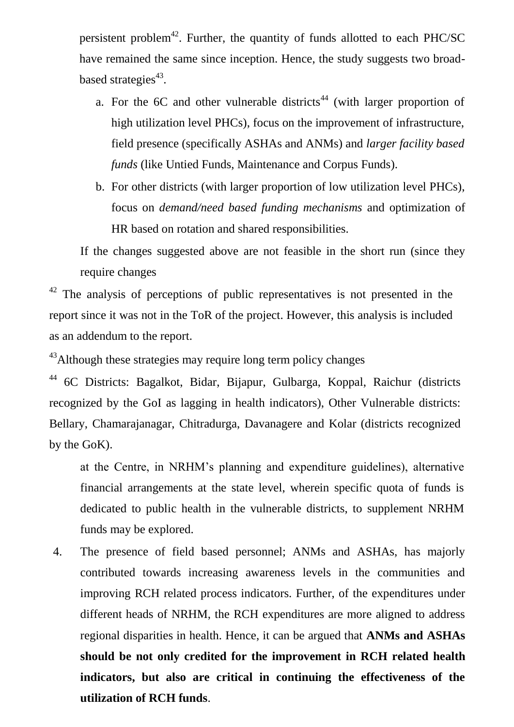persistent problem<sup>42</sup>. Further, the quantity of funds allotted to each PHC/SC have remained the same since inception. Hence, the study suggests two broadbased strategies<sup>43</sup>.

- a. For the 6C and other vulnerable districts<sup>44</sup> (with larger proportion of high utilization level PHCs), focus on the improvement of infrastructure, field presence (specifically ASHAs and ANMs) and *larger facility based funds* (like Untied Funds, Maintenance and Corpus Funds).
- b. For other districts (with larger proportion of low utilization level PHCs), focus on *demand/need based funding mechanisms* and optimization of HR based on rotation and shared responsibilities.

If the changes suggested above are not feasible in the short run (since they require changes

 $42$  The analysis of perceptions of public representatives is not presented in the report since it was not in the ToR of the project. However, this analysis is included as an addendum to the report.

<sup>43</sup>Although these strategies may require long term policy changes

<sup>44</sup> 6C Districts: Bagalkot, Bidar, Bijapur, Gulbarga, Koppal, Raichur (districts recognized by the GoI as lagging in health indicators), Other Vulnerable districts: Bellary, Chamarajanagar, Chitradurga, Davanagere and Kolar (districts recognized by the GoK).

at the Centre, in NRHM"s planning and expenditure guidelines), alternative financial arrangements at the state level, wherein specific quota of funds is dedicated to public health in the vulnerable districts, to supplement NRHM funds may be explored.

4. The presence of field based personnel; ANMs and ASHAs, has majorly contributed towards increasing awareness levels in the communities and improving RCH related process indicators. Further, of the expenditures under different heads of NRHM, the RCH expenditures are more aligned to address regional disparities in health. Hence, it can be argued that **ANMs and ASHAs should be not only credited for the improvement in RCH related health indicators, but also are critical in continuing the effectiveness of the utilization of RCH funds**.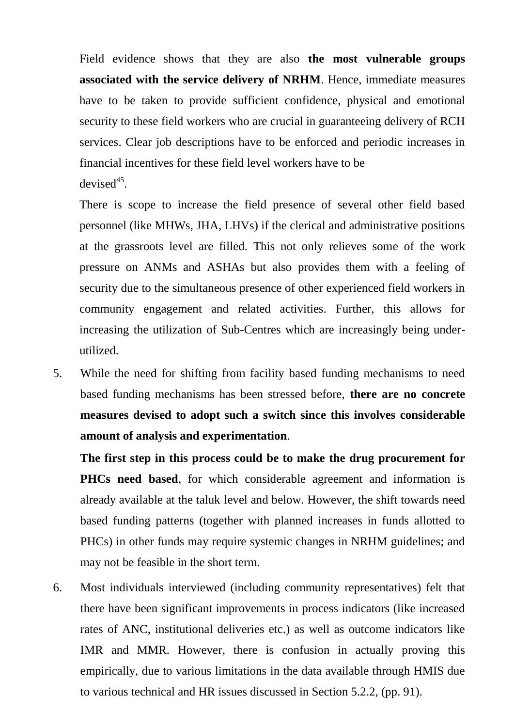Field evidence shows that they are also **the most vulnerable groups associated with the service delivery of NRHM**. Hence, immediate measures have to be taken to provide sufficient confidence, physical and emotional security to these field workers who are crucial in guaranteeing delivery of RCH services. Clear job descriptions have to be enforced and periodic increases in financial incentives for these field level workers have to be devised<sup>45</sup>.

There is scope to increase the field presence of several other field based personnel (like MHWs, JHA, LHVs) if the clerical and administrative positions at the grassroots level are filled. This not only relieves some of the work pressure on ANMs and ASHAs but also provides them with a feeling of security due to the simultaneous presence of other experienced field workers in community engagement and related activities. Further, this allows for increasing the utilization of Sub-Centres which are increasingly being underutilized.

5. While the need for shifting from facility based funding mechanisms to need based funding mechanisms has been stressed before, **there are no concrete measures devised to adopt such a switch since this involves considerable amount of analysis and experimentation**.

**The first step in this process could be to make the drug procurement for PHCs need based**, for which considerable agreement and information is already available at the taluk level and below. However, the shift towards need based funding patterns (together with planned increases in funds allotted to PHCs) in other funds may require systemic changes in NRHM guidelines; and may not be feasible in the short term.

6. Most individuals interviewed (including community representatives) felt that there have been significant improvements in process indicators (like increased rates of ANC, institutional deliveries etc.) as well as outcome indicators like IMR and MMR. However, there is confusion in actually proving this empirically, due to various limitations in the data available through HMIS due to various technical and HR issues discussed in Section 5.2.2, (pp. 91).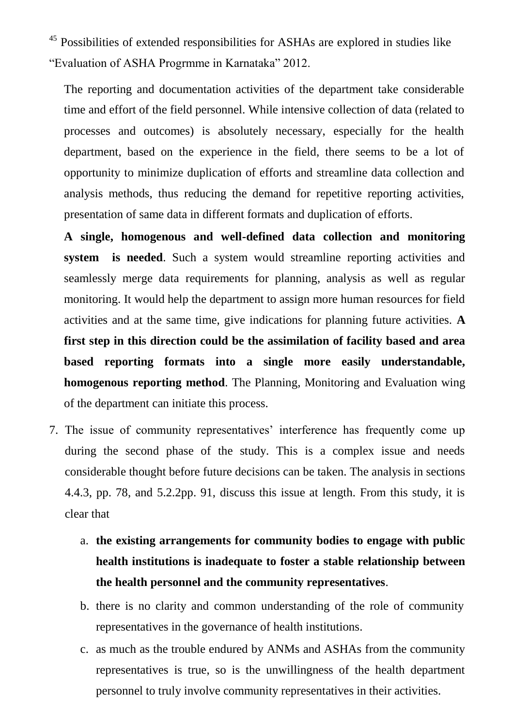<sup>45</sup> Possibilities of extended responsibilities for ASHAs are explored in studies like "Evaluation of ASHA Progrmme in Karnataka" 2012.

The reporting and documentation activities of the department take considerable time and effort of the field personnel. While intensive collection of data (related to processes and outcomes) is absolutely necessary, especially for the health department, based on the experience in the field, there seems to be a lot of opportunity to minimize duplication of efforts and streamline data collection and analysis methods, thus reducing the demand for repetitive reporting activities, presentation of same data in different formats and duplication of efforts.

**A single, homogenous and well-defined data collection and monitoring system is needed**. Such a system would streamline reporting activities and seamlessly merge data requirements for planning, analysis as well as regular monitoring. It would help the department to assign more human resources for field activities and at the same time, give indications for planning future activities. **A first step in this direction could be the assimilation of facility based and area based reporting formats into a single more easily understandable, homogenous reporting method**. The Planning, Monitoring and Evaluation wing of the department can initiate this process.

- 7. The issue of community representatives" interference has frequently come up during the second phase of the study. This is a complex issue and needs considerable thought before future decisions can be taken. The analysis in sections 4.4.3, pp. 78, and 5.2.2pp. 91, discuss this issue at length. From this study, it is clear that
	- a. **the existing arrangements for community bodies to engage with public health institutions is inadequate to foster a stable relationship between the health personnel and the community representatives**.
	- b. there is no clarity and common understanding of the role of community representatives in the governance of health institutions.
	- c. as much as the trouble endured by ANMs and ASHAs from the community representatives is true, so is the unwillingness of the health department personnel to truly involve community representatives in their activities.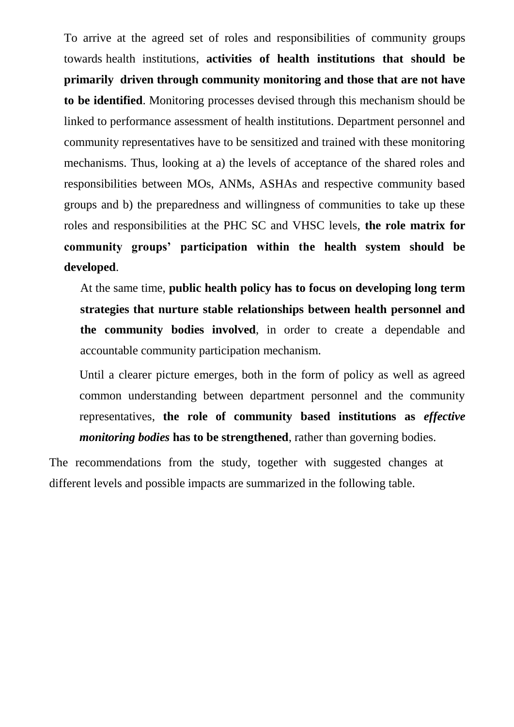To arrive at the agreed set of roles and responsibilities of community groups towards health institutions, **activities of health institutions that should be primarily driven through community monitoring and those that are not have to be identified**. Monitoring processes devised through this mechanism should be linked to performance assessment of health institutions. Department personnel and community representatives have to be sensitized and trained with these monitoring mechanisms. Thus, looking at a) the levels of acceptance of the shared roles and responsibilities between MOs, ANMs, ASHAs and respective community based groups and b) the preparedness and willingness of communities to take up these roles and responsibilities at the PHC SC and VHSC levels, **the role matrix for community groups' participation within the health system should be developed**.

At the same time, **public health policy has to focus on developing long term strategies that nurture stable relationships between health personnel and the community bodies involved**, in order to create a dependable and accountable community participation mechanism.

Until a clearer picture emerges, both in the form of policy as well as agreed common understanding between department personnel and the community representatives, **the role of community based institutions as** *effective monitoring bodies* **has to be strengthened**, rather than governing bodies.

The recommendations from the study, together with suggested changes at different levels and possible impacts are summarized in the following table.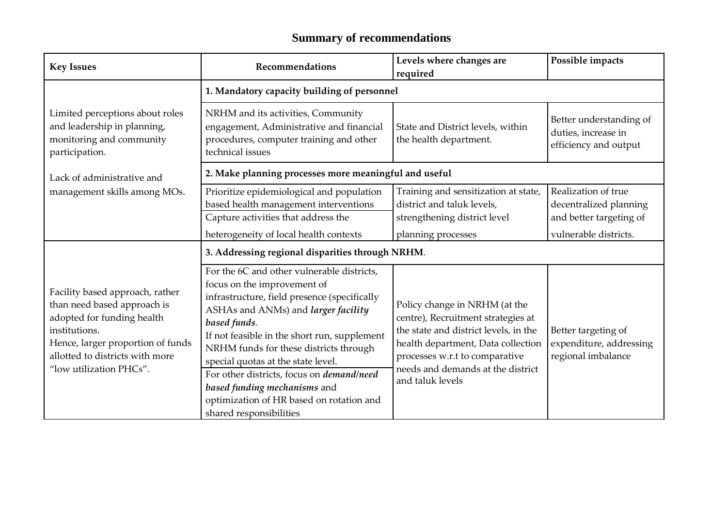# **Summary of recommendations**

| <b>Key Issues</b>                                                                                                                                                                                                | Recommendations                                                                                                                                                                                                                                                                                                                                                                                                                                                             | Levels where changes are<br>required                                                                                                                                                                                                          | Possible impacts                                                         |  |
|------------------------------------------------------------------------------------------------------------------------------------------------------------------------------------------------------------------|-----------------------------------------------------------------------------------------------------------------------------------------------------------------------------------------------------------------------------------------------------------------------------------------------------------------------------------------------------------------------------------------------------------------------------------------------------------------------------|-----------------------------------------------------------------------------------------------------------------------------------------------------------------------------------------------------------------------------------------------|--------------------------------------------------------------------------|--|
|                                                                                                                                                                                                                  | 1. Mandatory capacity building of personnel                                                                                                                                                                                                                                                                                                                                                                                                                                 |                                                                                                                                                                                                                                               |                                                                          |  |
| Limited perceptions about roles<br>and leadership in planning,<br>monitoring and community<br>participation.                                                                                                     | NRHM and its activities, Community<br>engagement, Administrative and financial<br>procedures, computer training and other<br>technical issues                                                                                                                                                                                                                                                                                                                               | State and District levels, within<br>the health department.                                                                                                                                                                                   | Better understanding of<br>duties, increase in<br>efficiency and output  |  |
| Lack of administrative and                                                                                                                                                                                       | 2. Make planning processes more meaningful and useful                                                                                                                                                                                                                                                                                                                                                                                                                       |                                                                                                                                                                                                                                               |                                                                          |  |
| management skills among MOs.                                                                                                                                                                                     | Prioritize epidemiological and population<br>based health management interventions<br>Capture activities that address the                                                                                                                                                                                                                                                                                                                                                   | Training and sensitization at state,<br>district and taluk levels,<br>strengthening district level                                                                                                                                            | Realization of true<br>decentralized planning<br>and better targeting of |  |
|                                                                                                                                                                                                                  | heterogeneity of local health contexts                                                                                                                                                                                                                                                                                                                                                                                                                                      | planning processes                                                                                                                                                                                                                            | vulnerable districts.                                                    |  |
|                                                                                                                                                                                                                  | 3. Addressing regional disparities through NRHM.                                                                                                                                                                                                                                                                                                                                                                                                                            |                                                                                                                                                                                                                                               |                                                                          |  |
| Facility based approach, rather<br>than need based approach is<br>adopted for funding health<br>institutions.<br>Hence, larger proportion of funds<br>allotted to districts with more<br>"low utilization PHCs". | For the 6C and other vulnerable districts,<br>focus on the improvement of<br>infrastructure, field presence (specifically<br>ASHAs and ANMs) and larger facility<br>based funds.<br>If not feasible in the short run, supplement<br>NRHM funds for these districts through<br>special quotas at the state level.<br>For other districts, focus on <i>demand/need</i><br>based funding mechanisms and<br>optimization of HR based on rotation and<br>shared responsibilities | Policy change in NRHM (at the<br>centre), Recruitment strategies at<br>the state and district levels, in the<br>health department, Data collection<br>processes w.r.t to comparative<br>needs and demands at the district<br>and taluk levels | Better targeting of<br>expenditure, addressing<br>regional imbalance     |  |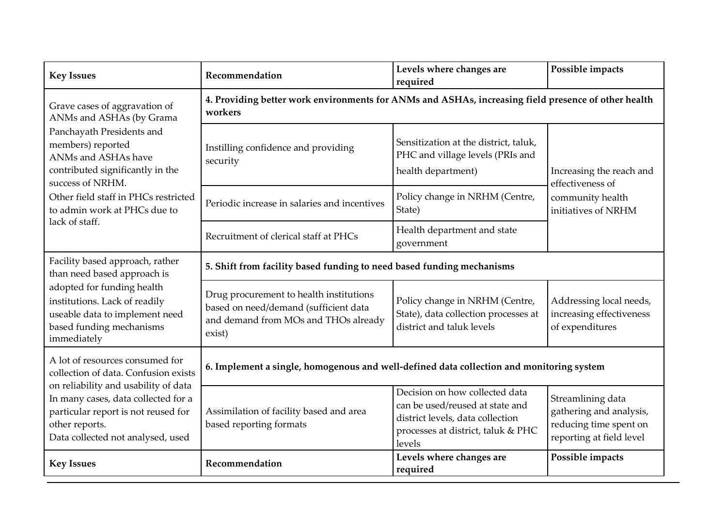| <b>Key Issues</b>                                                                                                                                                                                                                                                                    | Recommendation                                                                                                                     | Levels where changes are<br>required                                                                                                                  | Possible impacts                                                                                   |  |
|--------------------------------------------------------------------------------------------------------------------------------------------------------------------------------------------------------------------------------------------------------------------------------------|------------------------------------------------------------------------------------------------------------------------------------|-------------------------------------------------------------------------------------------------------------------------------------------------------|----------------------------------------------------------------------------------------------------|--|
| Grave cases of aggravation of<br>ANMs and ASHAs (by Grama<br>Panchayath Presidents and<br>members) reported<br>ANMs and ASHAs have<br>contributed significantly in the<br>success of NRHM.<br>Other field staff in PHCs restricted<br>to admin work at PHCs due to<br>lack of staff. | 4. Providing better work environments for ANMs and ASHAs, increasing field presence of other health<br>workers                     |                                                                                                                                                       |                                                                                                    |  |
|                                                                                                                                                                                                                                                                                      | Instilling confidence and providing<br>security                                                                                    | Sensitization at the district, taluk,<br>PHC and village levels (PRIs and<br>health department)                                                       | Increasing the reach and<br>effectiveness of<br>community health<br>initiatives of NRHM            |  |
|                                                                                                                                                                                                                                                                                      | Periodic increase in salaries and incentives                                                                                       | Policy change in NRHM (Centre,<br>State)                                                                                                              |                                                                                                    |  |
|                                                                                                                                                                                                                                                                                      | Recruitment of clerical staff at PHCs                                                                                              | Health department and state<br>government                                                                                                             |                                                                                                    |  |
| Facility based approach, rather<br>than need based approach is<br>adopted for funding health<br>institutions. Lack of readily<br>useable data to implement need<br>based funding mechanisms<br>immediately                                                                           | 5. Shift from facility based funding to need based funding mechanisms                                                              |                                                                                                                                                       |                                                                                                    |  |
|                                                                                                                                                                                                                                                                                      | Drug procurement to health institutions<br>based on need/demand (sufficient data<br>and demand from MOs and THOs already<br>exist) | Policy change in NRHM (Centre,<br>State), data collection processes at<br>district and taluk levels                                                   | Addressing local needs,<br>increasing effectiveness<br>of expenditures                             |  |
| A lot of resources consumed for<br>collection of data. Confusion exists<br>on reliability and usability of data<br>In many cases, data collected for a<br>particular report is not reused for<br>other reports.<br>Data collected not analysed, used                                 | 6. Implement a single, homogenous and well-defined data collection and monitoring system                                           |                                                                                                                                                       |                                                                                                    |  |
|                                                                                                                                                                                                                                                                                      | Assimilation of facility based and area<br>based reporting formats                                                                 | Decision on how collected data<br>can be used/reused at state and<br>district levels, data collection<br>processes at district, taluk & PHC<br>levels | Streamlining data<br>gathering and analysis,<br>reducing time spent on<br>reporting at field level |  |
| <b>Key Issues</b>                                                                                                                                                                                                                                                                    | Recommendation                                                                                                                     | Levels where changes are<br>required                                                                                                                  | Possible impacts                                                                                   |  |